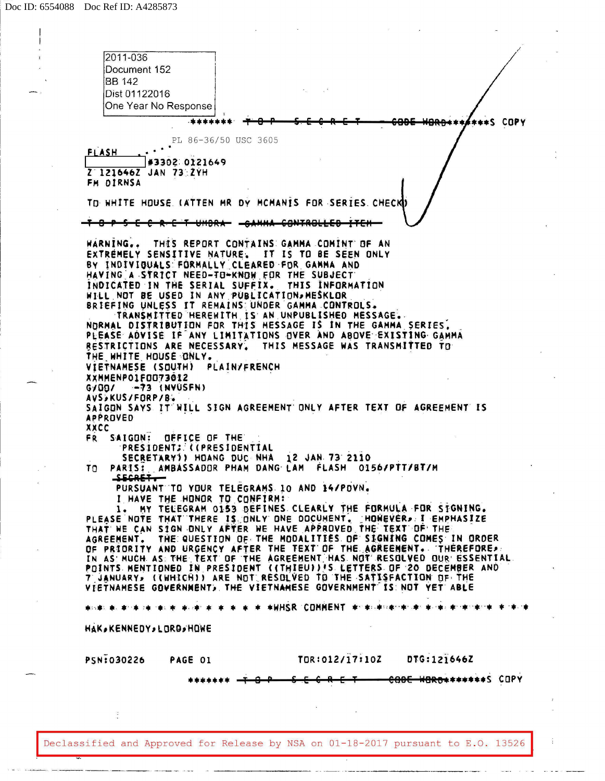